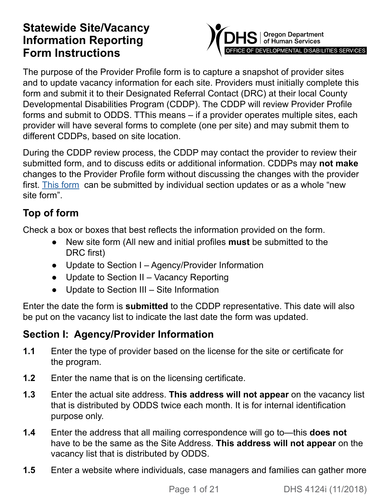### **Statewide Site/Vacancy Information Reporting Form Instructions**



The purpose of the Provider Profile form is to capture a snapshot of provider sites and to update vacancy information for each site. Providers must initially complete this form and submit it to their Designated Referral Contact (DRC) at their local County Developmental Disabilities Program (CDDP). The CDDP will review Provider Profile forms and submit to ODDS. TThis means – if a provider operates multiple sites, each provider will have several forms to complete (one per site) and may submit them to different CDDPs, based on site location.

During the CDDP review process, the CDDP may contact the provider to review their submitted form, and to discuss edits or additional information. CDDPs may **not make** changes to the Provider Profile form without discussing the changes with the provider first. [This form](https://apps.state.or.us/Forms/Served/DE4124.docx) can be submitted by individual section updates or as a whole "new site form".

### **Top of form**

Check a box or boxes that best reflects the information provided on the form.

- **●** New site form (All new and initial profiles **must** be submitted to the DRC first)
- **●** Update to Section I Agency/Provider Information
- **●** Update to Section II Vacancy Reporting
- **●** Update to Section III Site Information

Enter the date the form is **submitted** to the CDDP representative. This date will also be put on the vacancy list to indicate the last date the form was updated.

#### **Section I: Agency/Provider Information**

- **1.1** Enter the type of provider based on the license for the site or certificate for the program.
- **1.2** Enter the name that is on the licensing certificate.
- **1.3** Enter the actual site address. **This address will not appear** on the vacancy list that is distributed by ODDS twice each month. It is for internal identification purpose only.
- **1.4** Enter the address that all mailing correspondence will go to—this **does not** have to be the same as the Site Address. **This address will not appear** on the vacancy list that is distributed by ODDS.
- **1.5** Enter a website where individuals, case managers and families can gather more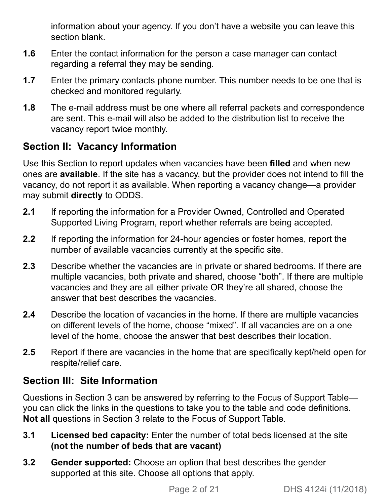information about your agency. If you don't have a website you can leave this section blank.

- **1.6** Enter the contact information for the person a case manager can contact regarding a referral they may be sending.
- **1.7** Enter the primary contacts phone number. This number needs to be one that is checked and monitored regularly.
- **1.8** The e-mail address must be one where all referral packets and correspondence are sent. This e-mail will also be added to the distribution list to receive the vacancy report twice monthly.

#### **Section II: Vacancy Information**

Use this Section to report updates when vacancies have been **filled** and when new ones are **available**. If the site has a vacancy, but the provider does not intend to fill the vacancy, do not report it as available. When reporting a vacancy change—a provider may submit **directly** to ODDS.

- **2.1** If reporting the information for a Provider Owned, Controlled and Operated Supported Living Program, report whether referrals are being accepted.
- **2.2** If reporting the information for 24-hour agencies or foster homes, report the number of available vacancies currently at the specific site.
- **2.3** Describe whether the vacancies are in private or shared bedrooms. If there are multiple vacancies, both private and shared, choose "both". If there are multiple vacancies and they are all either private OR they're all shared, choose the answer that best describes the vacancies.
- **2.4** Describe the location of vacancies in the home. If there are multiple vacancies on different levels of the home, choose "mixed". If all vacancies are on a one level of the home, choose the answer that best describes their location.
- **2.5** Report if there are vacancies in the home that are specifically kept/held open for respite/relief care.

#### **Section III: Site Information**

Questions in Section 3 can be answered by referring to the Focus of Support Table you can click the links in the questions to take you to the table and code definitions. **Not all** questions in Section 3 relate to the Focus of Support Table.

- **3.1 Licensed bed capacity:** Enter the number of total beds licensed at the site **(not the number of beds that are vacant)**
- **3.2 Gender supported:** Choose an option that best describes the gender supported at this site. Choose all options that apply.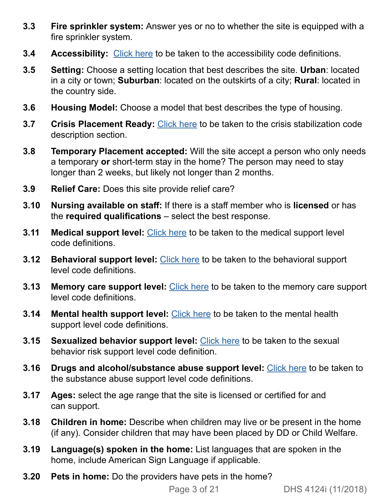- **3.3 Fire sprinkler system:** Answer yes or no to whether the site is equipped with a fire sprinkler system.
- **3.4 Accessibility:** [Click here](#page-4-0) to be taken to the accessibility code definitions.
- **3.5 Setting:** Choose a setting location that best describes the site. **Urban**: located in a city or town; **Suburban**: located on the outskirts of a city; **Rural**: located in the country side.
- **3.6 Housing Model:** Choose a model that best describes the type of housing.
- **3.7 Crisis Placement Ready:** [Click here](#page-5-0) to be taken to the crisis stabilization code description section.
- **3.8 Temporary Placement accepted:** Will the site accept a person who only needs a temporary **or** short-term stay in the home? The person may need to stay longer than 2 weeks, but likely not longer than 2 months.
- **3.9 Relief Care:** Does this site provide relief care?
- **3.10 Nursing available on staff:** If there is a staff member who is **licensed** or has the **required qualifications** – select the best response.
- **3.11 Medical support level:** [Click here](#page-7-0) to be taken to the medical support level code definitions.
- **3.12 Behavioral support level:** [Click here](#page-9-0) to be taken to the behavioral support level code definitions.
- **3.13 Memory care support level:** [Click here](#page-13-0) to be taken to the memory care support level code definitions.
- **3.14 Mental health support level:** [Click here](#page-15-0) to be taken to the mental health support level code definitions.
- **3.15 Sexualized behavior support level:** [Click here](#page-17-0) to be taken to the sexual behavior risk support level code definition.
- **3.16 Drugs and alcohol/substance abuse support level:** [Click here](#page-19-0) to be taken to the substance abuse support level code definitions.
- **3.17 Ages:** select the age range that the site is licensed or certified for and can support.
- **3.18 Children in home:** Describe when children may live or be present in the home (if any). Consider children that may have been placed by DD or Child Welfare.
- **3.19 Language(s) spoken in the home:** List languages that are spoken in the home, include American Sign Language if applicable.
- **3.20 Pets in home:** Do the providers have pets in the home?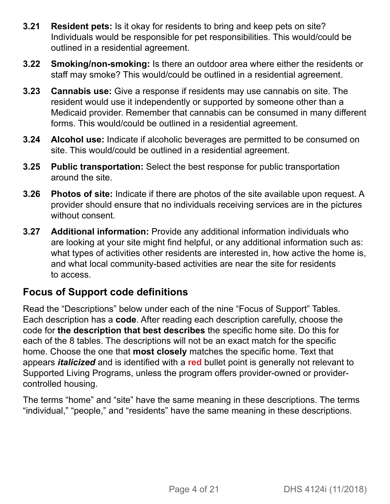- **3.21 Resident pets:** Is it okay for residents to bring and keep pets on site? Individuals would be responsible for pet responsibilities. This would/could be outlined in a residential agreement.
- **3.22 Smoking/non-smoking:** Is there an outdoor area where either the residents or staff may smoke? This would/could be outlined in a residential agreement.
- **3.23 Cannabis use:** Give a response if residents may use cannabis on site. The resident would use it independently or supported by someone other than a Medicaid provider. Remember that cannabis can be consumed in many different forms. This would/could be outlined in a residential agreement.
- **3.24 Alcohol use:** Indicate if alcoholic beverages are permitted to be consumed on site. This would/could be outlined in a residential agreement.
- **3.25 Public transportation:** Select the best response for public transportation around the site.
- **3.26 Photos of site:** Indicate if there are photos of the site available upon request. A provider should ensure that no individuals receiving services are in the pictures without consent.
- **3.27 Additional information:** Provide any additional information individuals who are looking at your site might find helpful, or any additional information such as: what types of activities other residents are interested in, how active the home is, and what local community-based activities are near the site for residents to access.

#### **Focus of Support code definitions**

Read the "Descriptions" below under each of the nine "Focus of Support" Tables. Each description has a **code**. After reading each description carefully, choose the code for **the description that best describes** the specific home site. Do this for each of the 8 tables. The descriptions will not be an exact match for the specific home. Choose the one that **most closely** matches the specific home. Text that appears *italicized* and is identified with a **red** bullet point is generally not relevant to Supported Living Programs, unless the program offers provider-owned or providercontrolled housing.

The terms "home" and "site" have the same meaning in these descriptions. The terms "individual," "people," and "residents" have the same meaning in these descriptions.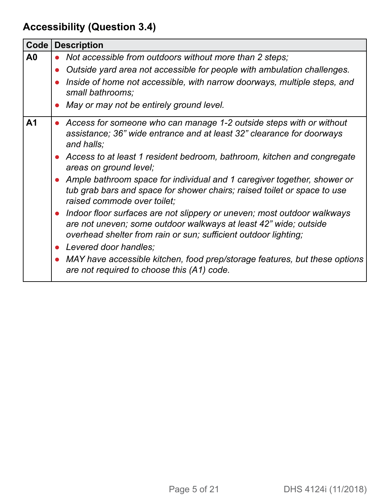# <span id="page-4-0"></span>**Accessibility (Question 3.4)**

| $Code \vert$   | <b>Description</b>                                                                                                                                                                                               |
|----------------|------------------------------------------------------------------------------------------------------------------------------------------------------------------------------------------------------------------|
| A <sub>0</sub> | • Not accessible from outdoors without more than 2 steps;                                                                                                                                                        |
|                | • Outside yard area not accessible for people with ambulation challenges.                                                                                                                                        |
|                | Inside of home not accessible, with narrow doorways, multiple steps, and<br>small bathrooms;                                                                                                                     |
|                | May or may not be entirely ground level.                                                                                                                                                                         |
| A <sub>1</sub> | • Access for someone who can manage 1-2 outside steps with or without<br>assistance; 36" wide entrance and at least 32" clearance for doorways<br>and halls;                                                     |
|                | • Access to at least 1 resident bedroom, bathroom, kitchen and congregate<br>areas on ground level;                                                                                                              |
|                | • Ample bathroom space for individual and 1 caregiver together, shower or<br>tub grab bars and space for shower chairs; raised toilet or space to use<br>raised commode over toilet;                             |
|                | • Indoor floor surfaces are not slippery or uneven; most outdoor walkways<br>are not uneven; some outdoor walkways at least 42" wide; outside<br>overhead shelter from rain or sun; sufficient outdoor lighting; |
|                | • Levered door handles;                                                                                                                                                                                          |
|                | • MAY have accessible kitchen, food prep/storage features, but these options<br>are not required to choose this (A1) code.                                                                                       |
|                |                                                                                                                                                                                                                  |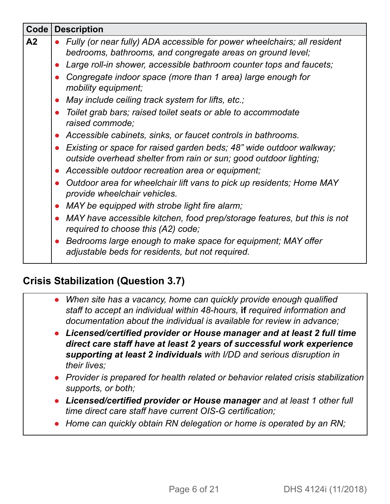| Code           | <b>Description</b>                                                                                                                         |  |  |
|----------------|--------------------------------------------------------------------------------------------------------------------------------------------|--|--|
| A <sub>2</sub> | • Fully (or near fully) ADA accessible for power wheelchairs; all resident<br>bedrooms, bathrooms, and congregate areas on ground level;   |  |  |
|                | Large roll-in shower, accessible bathroom counter tops and faucets;                                                                        |  |  |
|                | Congregate indoor space (more than 1 area) large enough for<br>mobility equipment;                                                         |  |  |
|                | • May include ceiling track system for lifts, etc.;                                                                                        |  |  |
|                | • Toilet grab bars; raised toilet seats or able to accommodate<br>raised commode;                                                          |  |  |
|                | Accessible cabinets, sinks, or faucet controls in bathrooms.                                                                               |  |  |
|                | • Existing or space for raised garden beds; 48" wide outdoor walkway;<br>outside overhead shelter from rain or sun; good outdoor lighting; |  |  |
|                | • Accessible outdoor recreation area or equipment;                                                                                         |  |  |
|                | Outdoor area for wheelchair lift vans to pick up residents; Home MAY<br>provide wheelchair vehicles.                                       |  |  |
|                | MAY be equipped with strobe light fire alarm;<br>$\bullet$                                                                                 |  |  |
|                | • MAY have accessible kitchen, food prep/storage features, but this is not<br>required to choose this (A2) code;                           |  |  |
|                | • Bedrooms large enough to make space for equipment; MAY offer<br>adjustable beds for residents, but not required.                         |  |  |

#### <span id="page-5-0"></span>**Crisis Stabilization (Question 3.7)**

- **●** *When site has a vacancy, home can quickly provide enough qualified staff to accept an individual within 48-hours,* **if** *required information and documentation about the individual is available for review in advance;*
- **●** *Licensed/certified provider or House manager and at least 2 full time direct care staff have at least 2 years of successful work experience supporting at least 2 individuals with I/DD and serious disruption in their lives;*
- **●** *Provider is prepared for health related or behavior related crisis stabilization supports, or both;*
- **●** *Licensed/certified provider or House manager and at least 1 other full time direct care staff have current OIS-G certification;*
- **●** *Home can quickly obtain RN delegation or home is operated by an RN;*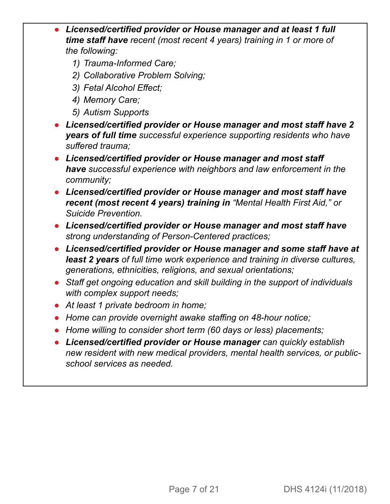- **●** *Licensed/certified provider or House manager and at least 1 full time staff have recent (most recent 4 years) training in 1 or more of the following:* 
	- *1) Trauma-Informed Care;*
	- *2) Collaborative Problem Solving;*
	- *3) Fetal Alcohol Effect;*
	- *4) Memory Care;*
	- *5) Autism Supports*
- **●** *Licensed/certified provider or House manager and most staff have 2 years of full time successful experience supporting residents who have suffered trauma;*
- **●** *Licensed/certified provider or House manager and most staff have successful experience with neighbors and law enforcement in the community;*
- **●** *Licensed/certified provider or House manager and most staff have recent (most recent 4 years) training in "Mental Health First Aid," or Suicide Prevention.*
- **●** *Licensed/certified provider or House manager and most staff have strong understanding of Person-Centered practices;*
- **●** *Licensed/certified provider or House manager and some staff have at least 2 years of full time work experience and training in diverse cultures, generations, ethnicities, religions, and sexual orientations;*
- **●** *Staff get ongoing education and skill building in the support of individuals with complex support needs;*
- **●** *At least 1 private bedroom in home;*
- **●** *Home can provide overnight awake staffing on 48-hour notice;*
- **●** *Home willing to consider short term (60 days or less) placements;*
- **●** *Licensed/certified provider or House manager can quickly establish new resident with new medical providers, mental health services, or publicschool services as needed.*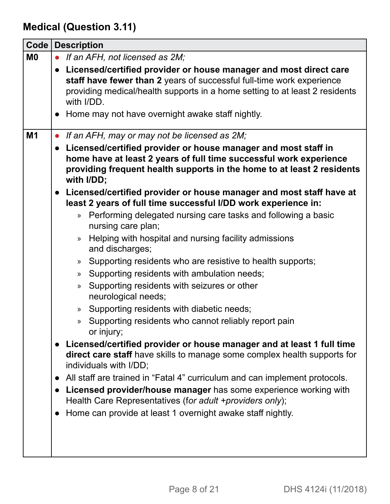<span id="page-7-0"></span>**Medical (Question 3.11)**

| Code      | <b>Description</b>                                                                                                                                                                                                                                                                                                                                                                                                                                                                                                                                                                                                                                                                                                                                                                                                                                                                                                                                                                                                                            |
|-----------|-----------------------------------------------------------------------------------------------------------------------------------------------------------------------------------------------------------------------------------------------------------------------------------------------------------------------------------------------------------------------------------------------------------------------------------------------------------------------------------------------------------------------------------------------------------------------------------------------------------------------------------------------------------------------------------------------------------------------------------------------------------------------------------------------------------------------------------------------------------------------------------------------------------------------------------------------------------------------------------------------------------------------------------------------|
| <b>MO</b> | If an AFH, not licensed as 2M;<br>$\bullet$                                                                                                                                                                                                                                                                                                                                                                                                                                                                                                                                                                                                                                                                                                                                                                                                                                                                                                                                                                                                   |
|           | • Licensed/certified provider or house manager and most direct care<br>staff have fewer than 2 years of successful full-time work experience<br>providing medical/health supports in a home setting to at least 2 residents<br>with I/DD.                                                                                                                                                                                                                                                                                                                                                                                                                                                                                                                                                                                                                                                                                                                                                                                                     |
|           | • Home may not have overnight awake staff nightly.                                                                                                                                                                                                                                                                                                                                                                                                                                                                                                                                                                                                                                                                                                                                                                                                                                                                                                                                                                                            |
| M1        | • If an AFH, may or may not be licensed as 2M;<br>• Licensed/certified provider or house manager and most staff in<br>home have at least 2 years of full time successful work experience<br>providing frequent health supports in the home to at least 2 residents<br>with I/DD;                                                                                                                                                                                                                                                                                                                                                                                                                                                                                                                                                                                                                                                                                                                                                              |
|           | • Licensed/certified provider or house manager and most staff have at<br>least 2 years of full time successful I/DD work experience in:                                                                                                                                                                                                                                                                                                                                                                                                                                                                                                                                                                                                                                                                                                                                                                                                                                                                                                       |
|           | Performing delegated nursing care tasks and following a basic<br>$\mathcal{D}$<br>nursing care plan;<br>Helping with hospital and nursing facility admissions<br>$\gg$<br>and discharges;<br>Supporting residents who are resistive to health supports;<br>$\rangle\!\!\!\rangle$<br>Supporting residents with ambulation needs;<br>»<br>Supporting residents with seizures or other<br>$\mathcal{V}$<br>neurological needs;<br>Supporting residents with diabetic needs;<br>$\mathcal{V}$<br>Supporting residents who cannot reliably report pain<br>»<br>or injury;<br>Licensed/certified provider or house manager and at least 1 full time<br>direct care staff have skills to manage some complex health supports for<br>individuals with I/DD;<br>All staff are trained in "Fatal 4" curriculum and can implement protocols.<br>$\bullet$<br>Licensed provider/house manager has some experience working with<br>Health Care Representatives (for adult +providers only);<br>Home can provide at least 1 overnight awake staff nightly. |
|           |                                                                                                                                                                                                                                                                                                                                                                                                                                                                                                                                                                                                                                                                                                                                                                                                                                                                                                                                                                                                                                               |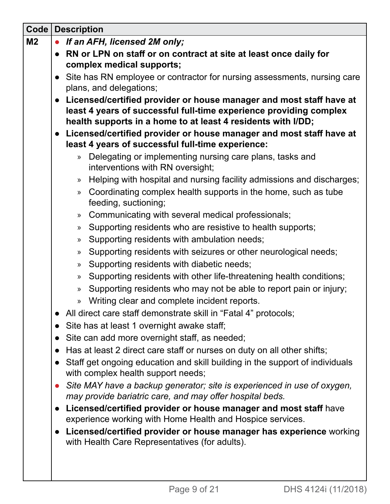| $Code \vert$   | <b>Description</b>                                                                                                                                                                                        |  |
|----------------|-----------------------------------------------------------------------------------------------------------------------------------------------------------------------------------------------------------|--|
| M <sub>2</sub> | If an AFH, licensed 2M only;                                                                                                                                                                              |  |
|                | • RN or LPN on staff or on contract at site at least once daily for                                                                                                                                       |  |
|                | complex medical supports;                                                                                                                                                                                 |  |
|                | • Site has RN employee or contractor for nursing assessments, nursing care                                                                                                                                |  |
|                | plans, and delegations;                                                                                                                                                                                   |  |
|                | Licensed/certified provider or house manager and most staff have at<br>least 4 years of successful full-time experience providing complex<br>health supports in a home to at least 4 residents with I/DD; |  |
|                | • Licensed/certified provider or house manager and most staff have at                                                                                                                                     |  |
|                | least 4 years of successful full-time experience:                                                                                                                                                         |  |
|                | Delegating or implementing nursing care plans, tasks and<br>$\mathcal{Y}$                                                                                                                                 |  |
|                | interventions with RN oversight;                                                                                                                                                                          |  |
|                | Helping with hospital and nursing facility admissions and discharges;<br>$\rangle\!\rangle$                                                                                                               |  |
|                | Coordinating complex health supports in the home, such as tube<br>$\mathcal{Y}$                                                                                                                           |  |
|                | feeding, suctioning;                                                                                                                                                                                      |  |
|                | Communicating with several medical professionals;<br>$\rangle$                                                                                                                                            |  |
|                | Supporting residents who are resistive to health supports;<br>»                                                                                                                                           |  |
|                | Supporting residents with ambulation needs;<br>»                                                                                                                                                          |  |
|                | Supporting residents with seizures or other neurological needs;<br>»                                                                                                                                      |  |
|                | Supporting residents with diabetic needs;<br>$\rangle$                                                                                                                                                    |  |
|                | Supporting residents with other life-threatening health conditions;<br>$\gg$                                                                                                                              |  |
|                | Supporting residents who may not be able to report pain or injury;<br>$\gg$                                                                                                                               |  |
|                | Writing clear and complete incident reports.<br>»                                                                                                                                                         |  |
|                | All direct care staff demonstrate skill in "Fatal 4" protocols;                                                                                                                                           |  |
|                | Site has at least 1 overnight awake staff;                                                                                                                                                                |  |
|                | Site can add more overnight staff, as needed;                                                                                                                                                             |  |
|                | Has at least 2 direct care staff or nurses on duty on all other shifts;                                                                                                                                   |  |
|                | Staff get ongoing education and skill building in the support of individuals<br>with complex health support needs;                                                                                        |  |
|                | Site MAY have a backup generator; site is experienced in use of oxygen,                                                                                                                                   |  |
|                | may provide bariatric care, and may offer hospital beds.                                                                                                                                                  |  |
|                | Licensed/certified provider or house manager and most staff have<br>experience working with Home Health and Hospice services.                                                                             |  |
|                | Licensed/certified provider or house manager has experience working<br>with Health Care Representatives (for adults).                                                                                     |  |
|                |                                                                                                                                                                                                           |  |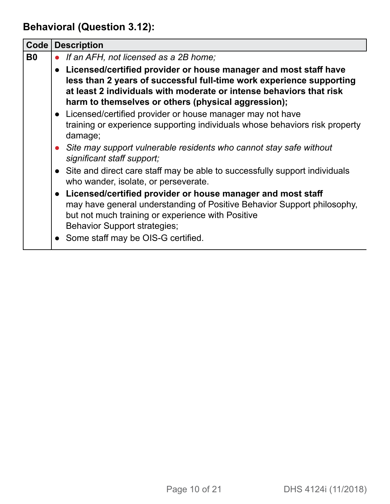<span id="page-9-0"></span>**Behavioral (Question 3.12):**

| Code      | <b>Description</b>                                                                                                                                                                                                                                                       |  |
|-----------|--------------------------------------------------------------------------------------------------------------------------------------------------------------------------------------------------------------------------------------------------------------------------|--|
| <b>B0</b> | If an AFH, not licensed as a 2B home;                                                                                                                                                                                                                                    |  |
|           | • Licensed/certified provider or house manager and most staff have<br>less than 2 years of successful full-time work experience supporting<br>at least 2 individuals with moderate or intense behaviors that risk<br>harm to themselves or others (physical aggression); |  |
|           | • Licensed/certified provider or house manager may not have<br>training or experience supporting individuals whose behaviors risk property<br>damage;                                                                                                                    |  |
|           | • Site may support vulnerable residents who cannot stay safe without<br>significant staff support;                                                                                                                                                                       |  |
|           | • Site and direct care staff may be able to successfully support individuals<br>who wander, isolate, or perseverate.                                                                                                                                                     |  |
|           | • Licensed/certified provider or house manager and most staff<br>may have general understanding of Positive Behavior Support philosophy,<br>but not much training or experience with Positive<br><b>Behavior Support strategies;</b>                                     |  |
|           | • Some staff may be OIS-G certified.                                                                                                                                                                                                                                     |  |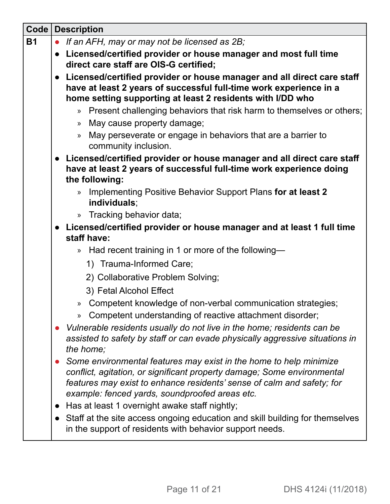| Code      |           | <b>Description</b>                                                                                                                                                                                                                                                        |  |
|-----------|-----------|---------------------------------------------------------------------------------------------------------------------------------------------------------------------------------------------------------------------------------------------------------------------------|--|
| <b>B1</b> |           | • If an AFH, may or may not be licensed as 2B;                                                                                                                                                                                                                            |  |
|           |           | • Licensed/certified provider or house manager and most full time<br>direct care staff are OIS-G certified;                                                                                                                                                               |  |
|           |           | • Licensed/certified provider or house manager and all direct care staff<br>have at least 2 years of successful full-time work experience in a<br>home setting supporting at least 2 residents with I/DD who                                                              |  |
|           |           | » Present challenging behaviors that risk harm to themselves or others;<br>May cause property damage;<br>$\rangle$                                                                                                                                                        |  |
|           |           | May perseverate or engage in behaviors that are a barrier to<br>$\gg$<br>community inclusion.                                                                                                                                                                             |  |
|           |           | • Licensed/certified provider or house manager and all direct care staff<br>have at least 2 years of successful full-time work experience doing<br>the following:                                                                                                         |  |
|           |           | Implementing Positive Behavior Support Plans for at least 2<br>$\mathcal{D}$<br>individuals;                                                                                                                                                                              |  |
|           |           | Tracking behavior data;<br>$\gg$                                                                                                                                                                                                                                          |  |
|           |           | • Licensed/certified provider or house manager and at least 1 full time<br>staff have:                                                                                                                                                                                    |  |
|           |           | Had recent training in 1 or more of the following-<br>$\rangle$                                                                                                                                                                                                           |  |
|           |           | 1) Trauma-Informed Care;                                                                                                                                                                                                                                                  |  |
|           |           | 2) Collaborative Problem Solving;                                                                                                                                                                                                                                         |  |
|           |           | 3) Fetal Alcohol Effect                                                                                                                                                                                                                                                   |  |
|           |           | Competent knowledge of non-verbal communication strategies;<br>$\gg$<br>Competent understanding of reactive attachment disorder;<br>»                                                                                                                                     |  |
|           |           | Vulnerable residents usually do not live in the home; residents can be<br>assisted to safety by staff or can evade physically aggressive situations in<br>the home;                                                                                                       |  |
|           |           | Some environmental features may exist in the home to help minimize<br>conflict, agitation, or significant property damage; Some environmental<br>features may exist to enhance residents' sense of calm and safety; for<br>example: fenced yards, soundproofed areas etc. |  |
|           | $\bullet$ | Has at least 1 overnight awake staff nightly;                                                                                                                                                                                                                             |  |
|           | $\bullet$ | Staff at the site access ongoing education and skill building for themselves<br>in the support of residents with behavior support needs.                                                                                                                                  |  |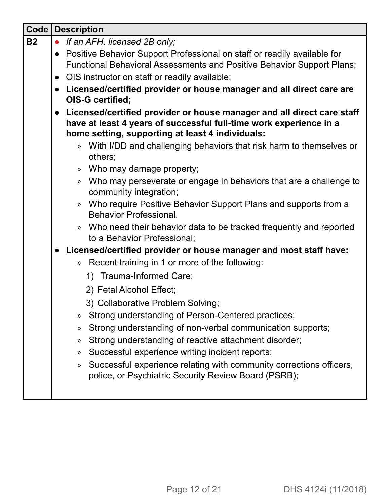| $Code \vert$ | <b>Description</b>                                                                                                     |
|--------------|------------------------------------------------------------------------------------------------------------------------|
| <b>B2</b>    | If an AFH, licensed 2B only;<br>$\bullet$                                                                              |
|              | • Positive Behavior Support Professional on staff or readily available for                                             |
|              | <b>Functional Behavioral Assessments and Positive Behavior Support Plans;</b>                                          |
|              | OIS instructor on staff or readily available;                                                                          |
|              | Licensed/certified provider or house manager and all direct care are<br>$\bullet$<br>OIS-G certified;                  |
|              | Licensed/certified provider or house manager and all direct care staff                                                 |
|              | have at least 4 years of successful full-time work experience in a                                                     |
|              | home setting, supporting at least 4 individuals:                                                                       |
|              | With I/DD and challenging behaviors that risk harm to themselves or<br>$\mathcal{Y}$                                   |
|              | others;                                                                                                                |
|              | Who may damage property;<br>$\mathcal{P}$                                                                              |
|              | Who may perseverate or engage in behaviors that are a challenge to<br>$\mathcal{P}$<br>community integration;          |
|              | Who require Positive Behavior Support Plans and supports from a<br>$\rangle\!\rangle$<br><b>Behavior Professional.</b> |
|              | Who need their behavior data to be tracked frequently and reported<br>$\mathcal{P}$<br>to a Behavior Professional;     |
|              | • Licensed/certified provider or house manager and most staff have:                                                    |
|              | Recent training in 1 or more of the following:<br>$\rangle$                                                            |
|              | 1) Trauma-Informed Care;                                                                                               |
|              | 2) Fetal Alcohol Effect;                                                                                               |
|              | 3) Collaborative Problem Solving;                                                                                      |
|              | Strong understanding of Person-Centered practices;<br>»                                                                |
|              | Strong understanding of non-verbal communication supports;<br>»                                                        |
|              | Strong understanding of reactive attachment disorder;<br>»                                                             |
|              | Successful experience writing incident reports;<br>»                                                                   |
|              | Successful experience relating with community corrections officers,<br>$\rangle\!\rangle$                              |
|              | police, or Psychiatric Security Review Board (PSRB);                                                                   |
|              |                                                                                                                        |
|              |                                                                                                                        |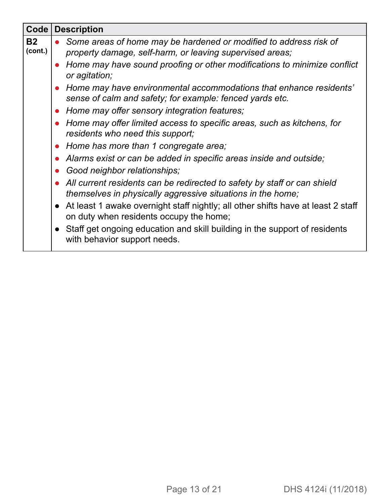| <b>Code</b>          | <b>Description</b>                                                                                                                        |  |  |
|----------------------|-------------------------------------------------------------------------------------------------------------------------------------------|--|--|
| <b>B2</b><br>(cont.) | Some areas of home may be hardened or modified to address risk of<br>property damage, self-harm, or leaving supervised areas;             |  |  |
|                      | Home may have sound proofing or other modifications to minimize conflict<br>or agitation;                                                 |  |  |
|                      | Home may have environmental accommodations that enhance residents'<br>sense of calm and safety; for example: fenced yards etc.            |  |  |
|                      | Home may offer sensory integration features;<br>$\bullet$                                                                                 |  |  |
|                      | Home may offer limited access to specific areas, such as kitchens, for<br>residents who need this support;                                |  |  |
|                      | • Home has more than 1 congregate area;                                                                                                   |  |  |
|                      | Alarms exist or can be added in specific areas inside and outside;                                                                        |  |  |
|                      | Good neighbor relationships;<br>$\bullet$                                                                                                 |  |  |
|                      | • All current residents can be redirected to safety by staff or can shield<br>themselves in physically aggressive situations in the home; |  |  |
|                      | • At least 1 awake overnight staff nightly; all other shifts have at least 2 staff<br>on duty when residents occupy the home;             |  |  |
|                      | • Staff get ongoing education and skill building in the support of residents<br>with behavior support needs.                              |  |  |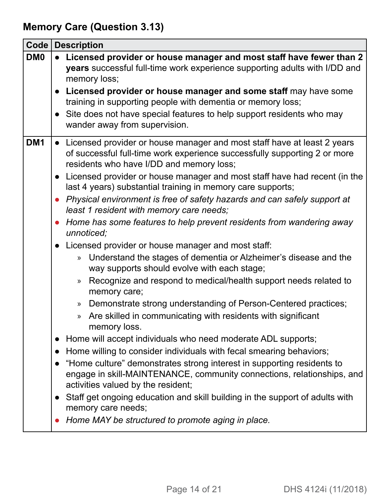# <span id="page-13-0"></span>**Memory Care (Question 3.13)**

| Code            | <b>Description</b>                                                                                                                                                                                                                                                                                                                                                                                                                                                                                                                                                                                                                                                                                                                                                                                                                                                                                                                                                                                                                                                                                                                                                                                                                                                                                                                                                                                                                                                                                                                         |
|-----------------|--------------------------------------------------------------------------------------------------------------------------------------------------------------------------------------------------------------------------------------------------------------------------------------------------------------------------------------------------------------------------------------------------------------------------------------------------------------------------------------------------------------------------------------------------------------------------------------------------------------------------------------------------------------------------------------------------------------------------------------------------------------------------------------------------------------------------------------------------------------------------------------------------------------------------------------------------------------------------------------------------------------------------------------------------------------------------------------------------------------------------------------------------------------------------------------------------------------------------------------------------------------------------------------------------------------------------------------------------------------------------------------------------------------------------------------------------------------------------------------------------------------------------------------------|
| DM <sub>0</sub> | Licensed provider or house manager and most staff have fewer than 2<br>years successful full-time work experience supporting adults with I/DD and<br>memory loss;<br>• Licensed provider or house manager and some staff may have some<br>training in supporting people with dementia or memory loss;<br>• Site does not have special features to help support residents who may<br>wander away from supervision.                                                                                                                                                                                                                                                                                                                                                                                                                                                                                                                                                                                                                                                                                                                                                                                                                                                                                                                                                                                                                                                                                                                          |
| DM <sub>1</sub> | • Licensed provider or house manager and most staff have at least 2 years<br>of successful full-time work experience successfully supporting 2 or more<br>residents who have I/DD and memory loss;<br>• Licensed provider or house manager and most staff have had recent (in the<br>last 4 years) substantial training in memory care supports;<br>• Physical environment is free of safety hazards and can safely support at<br>least 1 resident with memory care needs;<br>Home has some features to help prevent residents from wandering away<br>unnoticed;<br>• Licensed provider or house manager and most staff:<br>Understand the stages of dementia or Alzheimer's disease and the<br>$\mathcal{V}$<br>way supports should evolve with each stage;<br>Recognize and respond to medical/health support needs related to<br>»<br>memory care;<br>Demonstrate strong understanding of Person-Centered practices;<br>$\rangle\!\!\!\rangle$<br>Are skilled in communicating with residents with significant<br>$\rangle$<br>memory loss.<br>Home will accept individuals who need moderate ADL supports;<br>Home willing to consider individuals with fecal smearing behaviors;<br>"Home culture" demonstrates strong interest in supporting residents to<br>engage in skill-MAINTENANCE, community connections, relationships, and<br>activities valued by the resident;<br>Staff get ongoing education and skill building in the support of adults with<br>memory care needs;<br>Home MAY be structured to promote aging in place. |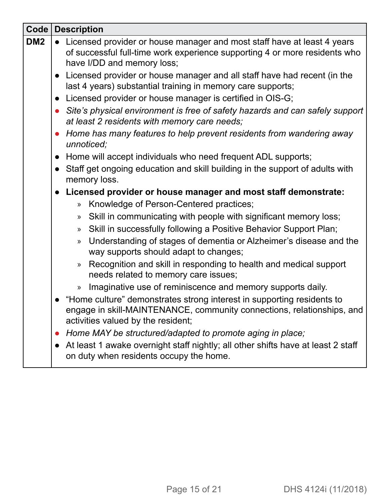| Code            | <b>Description</b>                                                                                                                                                                       |
|-----------------|------------------------------------------------------------------------------------------------------------------------------------------------------------------------------------------|
| DM <sub>2</sub> | Licensed provider or house manager and most staff have at least 4 years<br>of successful full-time work experience supporting 4 or more residents who<br>have I/DD and memory loss;      |
|                 | Licensed provider or house manager and all staff have had recent (in the<br>last 4 years) substantial training in memory care supports;                                                  |
|                 | Licensed provider or house manager is certified in OIS-G;<br>$\bullet$                                                                                                                   |
|                 | Site's physical environment is free of safety hazards and can safely support<br>at least 2 residents with memory care needs;                                                             |
|                 | Home has many features to help prevent residents from wandering away<br>unnoticed;                                                                                                       |
|                 | Home will accept individuals who need frequent ADL supports;                                                                                                                             |
|                 | Staff get ongoing education and skill building in the support of adults with<br>memory loss.                                                                                             |
|                 | Licensed provider or house manager and most staff demonstrate:                                                                                                                           |
|                 | Knowledge of Person-Centered practices;<br>$\mathcal{D}$                                                                                                                                 |
|                 | Skill in communicating with people with significant memory loss;<br>$\mathcal{V}$                                                                                                        |
|                 | Skill in successfully following a Positive Behavior Support Plan;<br>$\mathcal{V}$                                                                                                       |
|                 | Understanding of stages of dementia or Alzheimer's disease and the<br>$\mathcal{V}$<br>way supports should adapt to changes;                                                             |
|                 | Recognition and skill in responding to health and medical support<br>$\gg$<br>needs related to memory care issues;                                                                       |
|                 | Imaginative use of reminiscence and memory supports daily.<br>$\gg$                                                                                                                      |
|                 | • "Home culture" demonstrates strong interest in supporting residents to<br>engage in skill-MAINTENANCE, community connections, relationships, and<br>activities valued by the resident; |
|                 | Home MAY be structured/adapted to promote aging in place;<br>$\bullet$                                                                                                                   |
|                 | At least 1 awake overnight staff nightly; all other shifts have at least 2 staff<br>on duty when residents occupy the home.                                                              |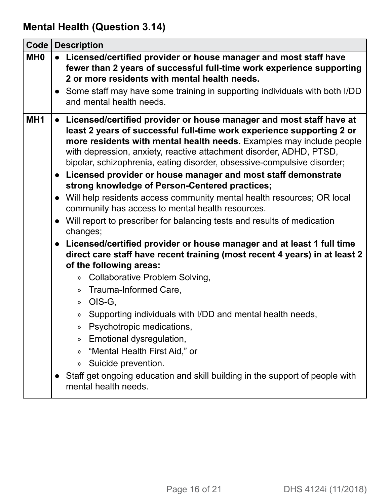# <span id="page-15-0"></span>**Mental Health (Question 3.14)**

| Code            | <b>Description</b>                                                                                                                                                                                                                                                                                                                                                                                                                                                                                                                                                                                                                                                                                                                                                                                                                                                                                                                                                                                                                                                                                                                                                                                                                                                                                                                                                                                 |  |
|-----------------|----------------------------------------------------------------------------------------------------------------------------------------------------------------------------------------------------------------------------------------------------------------------------------------------------------------------------------------------------------------------------------------------------------------------------------------------------------------------------------------------------------------------------------------------------------------------------------------------------------------------------------------------------------------------------------------------------------------------------------------------------------------------------------------------------------------------------------------------------------------------------------------------------------------------------------------------------------------------------------------------------------------------------------------------------------------------------------------------------------------------------------------------------------------------------------------------------------------------------------------------------------------------------------------------------------------------------------------------------------------------------------------------------|--|
| MH <sub>0</sub> | • Licensed/certified provider or house manager and most staff have<br>fewer than 2 years of successful full-time work experience supporting<br>2 or more residents with mental health needs.                                                                                                                                                                                                                                                                                                                                                                                                                                                                                                                                                                                                                                                                                                                                                                                                                                                                                                                                                                                                                                                                                                                                                                                                       |  |
|                 | • Some staff may have some training in supporting individuals with both I/DD<br>and mental health needs.                                                                                                                                                                                                                                                                                                                                                                                                                                                                                                                                                                                                                                                                                                                                                                                                                                                                                                                                                                                                                                                                                                                                                                                                                                                                                           |  |
| MH <sub>1</sub> | • Licensed/certified provider or house manager and most staff have at<br>least 2 years of successful full-time work experience supporting 2 or<br>more residents with mental health needs. Examples may include people<br>with depression, anxiety, reactive attachment disorder, ADHD, PTSD,<br>bipolar, schizophrenia, eating disorder, obsessive-compulsive disorder;<br>Licensed provider or house manager and most staff demonstrate<br>$\bullet$<br>strong knowledge of Person-Centered practices;<br>• Will help residents access community mental health resources; OR local<br>community has access to mental health resources.<br>• Will report to prescriber for balancing tests and results of medication<br>changes;<br>Licensed/certified provider or house manager and at least 1 full time<br>$\bullet$<br>direct care staff have recent training (most recent 4 years) in at least 2<br>of the following areas:<br><b>Collaborative Problem Solving,</b><br>$\rangle$<br>Trauma-Informed Care,<br>$\mathcal{P}$<br>OIS-G,<br>$\gg$<br>Supporting individuals with I/DD and mental health needs,<br>$\mathcal{V}$<br>Psychotropic medications,<br>»<br>Emotional dysregulation,<br>$\gg$<br>"Mental Health First Aid," or<br>$\gg$<br>Suicide prevention.<br>$\mathcal{P}$<br>Staff get ongoing education and skill building in the support of people with<br>mental health needs. |  |
|                 |                                                                                                                                                                                                                                                                                                                                                                                                                                                                                                                                                                                                                                                                                                                                                                                                                                                                                                                                                                                                                                                                                                                                                                                                                                                                                                                                                                                                    |  |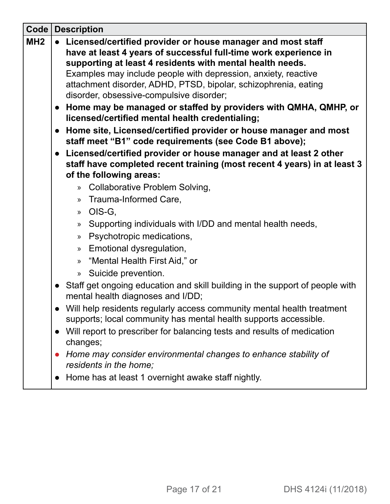| Code            |           | <b>Description</b>                                                                                                                                                                                                                                                                                                                                                            |
|-----------------|-----------|-------------------------------------------------------------------------------------------------------------------------------------------------------------------------------------------------------------------------------------------------------------------------------------------------------------------------------------------------------------------------------|
| MH <sub>2</sub> |           | Licensed/certified provider or house manager and most staff<br>have at least 4 years of successful full-time work experience in<br>supporting at least 4 residents with mental health needs.<br>Examples may include people with depression, anxiety, reactive<br>attachment disorder, ADHD, PTSD, bipolar, schizophrenia, eating<br>disorder, obsessive-compulsive disorder; |
|                 |           | Home may be managed or staffed by providers with QMHA, QMHP, or<br>licensed/certified mental health credentialing;                                                                                                                                                                                                                                                            |
|                 |           | • Home site, Licensed/certified provider or house manager and most<br>staff meet "B1" code requirements (see Code B1 above);                                                                                                                                                                                                                                                  |
|                 |           | Licensed/certified provider or house manager and at least 2 other<br>staff have completed recent training (most recent 4 years) in at least 3<br>of the following areas:                                                                                                                                                                                                      |
|                 |           | » Collaborative Problem Solving,                                                                                                                                                                                                                                                                                                                                              |
|                 |           | Trauma-Informed Care,<br>$\mathcal{P}$                                                                                                                                                                                                                                                                                                                                        |
|                 |           | OIS-G,<br>$\mathcal{P}$                                                                                                                                                                                                                                                                                                                                                       |
|                 |           | Supporting individuals with I/DD and mental health needs,<br>$\mathcal{P}$                                                                                                                                                                                                                                                                                                    |
|                 |           | Psychotropic medications,<br>$\mathcal{P}$                                                                                                                                                                                                                                                                                                                                    |
|                 |           | Emotional dysregulation,<br>$\rangle\!\rangle$                                                                                                                                                                                                                                                                                                                                |
|                 |           | "Mental Health First Aid," or<br>$\rangle$                                                                                                                                                                                                                                                                                                                                    |
|                 |           | » Suicide prevention.                                                                                                                                                                                                                                                                                                                                                         |
|                 |           | • Staff get ongoing education and skill building in the support of people with<br>mental health diagnoses and I/DD;                                                                                                                                                                                                                                                           |
|                 |           | Will help residents regularly access community mental health treatment<br>supports; local community has mental health supports accessible.                                                                                                                                                                                                                                    |
|                 | $\bullet$ | Will report to prescriber for balancing tests and results of medication                                                                                                                                                                                                                                                                                                       |
|                 |           | changes;                                                                                                                                                                                                                                                                                                                                                                      |
|                 | $\bullet$ | Home may consider environmental changes to enhance stability of                                                                                                                                                                                                                                                                                                               |
|                 |           | residents in the home;                                                                                                                                                                                                                                                                                                                                                        |
|                 | $\bullet$ | Home has at least 1 overnight awake staff nightly.                                                                                                                                                                                                                                                                                                                            |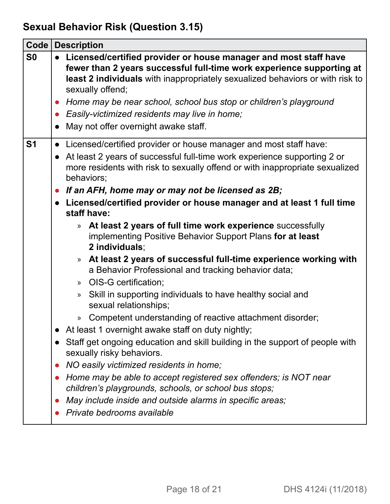# <span id="page-17-0"></span>**Sexual Behavior Risk (Question 3.15)**

| Code           | <b>Description</b>                                                                                                                                                                                                                                                                                                                                                                                             |
|----------------|----------------------------------------------------------------------------------------------------------------------------------------------------------------------------------------------------------------------------------------------------------------------------------------------------------------------------------------------------------------------------------------------------------------|
| S <sub>0</sub> | Licensed/certified provider or house manager and most staff have<br>fewer than 2 years successful full-time work experience supporting at<br>least 2 individuals with inappropriately sexualized behaviors or with risk to<br>sexually offend;<br>• Home may be near school, school bus stop or children's playground<br>Easily-victimized residents may live in home;<br>May not offer overnight awake staff. |
|                |                                                                                                                                                                                                                                                                                                                                                                                                                |
| S <sub>1</sub> | • Licensed/certified provider or house manager and most staff have:<br>• At least 2 years of successful full-time work experience supporting 2 or<br>more residents with risk to sexually offend or with inappropriate sexualized<br>behaviors;                                                                                                                                                                |
|                | • If an AFH, home may or may not be licensed as 2B;                                                                                                                                                                                                                                                                                                                                                            |
|                | Licensed/certified provider or house manager and at least 1 full time<br>staff have:                                                                                                                                                                                                                                                                                                                           |
|                | At least 2 years of full time work experience successfully<br>$\mathcal{P}$<br>implementing Positive Behavior Support Plans for at least<br>2 individuals;                                                                                                                                                                                                                                                     |
|                | At least 2 years of successful full-time experience working with<br>$\gg$<br>a Behavior Professional and tracking behavior data;                                                                                                                                                                                                                                                                               |
|                | OIS-G certification;<br>$\gg$                                                                                                                                                                                                                                                                                                                                                                                  |
|                | Skill in supporting individuals to have healthy social and<br>$\gg$<br>sexual relationships;                                                                                                                                                                                                                                                                                                                   |
|                | Competent understanding of reactive attachment disorder;<br>$\gg$                                                                                                                                                                                                                                                                                                                                              |
|                | At least 1 overnight awake staff on duty nightly;                                                                                                                                                                                                                                                                                                                                                              |
|                | Staff get ongoing education and skill building in the support of people with<br>sexually risky behaviors.                                                                                                                                                                                                                                                                                                      |
|                | NO easily victimized residents in home;                                                                                                                                                                                                                                                                                                                                                                        |
|                | Home may be able to accept registered sex offenders; is NOT near<br>children's playgrounds, schools, or school bus stops;                                                                                                                                                                                                                                                                                      |
|                | May include inside and outside alarms in specific areas;                                                                                                                                                                                                                                                                                                                                                       |
|                | Private bedrooms available                                                                                                                                                                                                                                                                                                                                                                                     |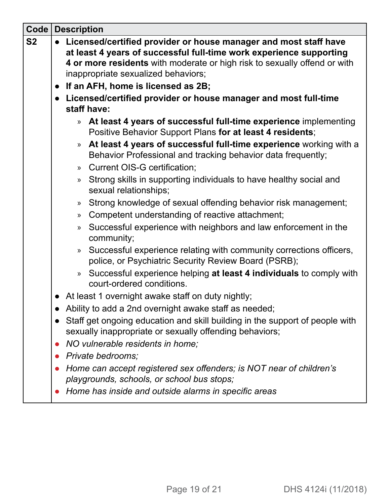| Code      | <b>Description</b>                                                                                                                                                                                                                                                                                  |  |
|-----------|-----------------------------------------------------------------------------------------------------------------------------------------------------------------------------------------------------------------------------------------------------------------------------------------------------|--|
| <b>S2</b> | Licensed/certified provider or house manager and most staff have<br>at least 4 years of successful full-time work experience supporting<br>4 or more residents with moderate or high risk to sexually offend or with<br>inappropriate sexualized behaviors;<br>• If an AFH, home is licensed as 2B; |  |
|           | • Licensed/certified provider or house manager and most full-time                                                                                                                                                                                                                                   |  |
|           | staff have:                                                                                                                                                                                                                                                                                         |  |
|           | At least 4 years of successful full-time experience implementing<br>$\gg$<br>Positive Behavior Support Plans for at least 4 residents;                                                                                                                                                              |  |
|           | At least 4 years of successful full-time experience working with a<br>$\mathcal{V}$<br>Behavior Professional and tracking behavior data frequently;                                                                                                                                                 |  |
|           | Current OIS-G certification;<br>$\mathcal{P}$                                                                                                                                                                                                                                                       |  |
|           | Strong skills in supporting individuals to have healthy social and<br>$\mathcal{V}$<br>sexual relationships;                                                                                                                                                                                        |  |
|           | Strong knowledge of sexual offending behavior risk management;<br>$\rightarrow$                                                                                                                                                                                                                     |  |
|           | Competent understanding of reactive attachment;<br>$\mathcal{P}$                                                                                                                                                                                                                                    |  |
|           | Successful experience with neighbors and law enforcement in the<br>$\mathcal{P}$<br>community;                                                                                                                                                                                                      |  |
|           | Successful experience relating with community corrections officers,<br>$\gg$<br>police, or Psychiatric Security Review Board (PSRB);                                                                                                                                                                |  |
|           | Successful experience helping at least 4 individuals to comply with<br>$\rangle$<br>court-ordered conditions.                                                                                                                                                                                       |  |
|           | • At least 1 overnight awake staff on duty nightly;                                                                                                                                                                                                                                                 |  |
|           | Ability to add a 2nd overnight awake staff as needed;                                                                                                                                                                                                                                               |  |
|           | Staff get ongoing education and skill building in the support of people with<br>$\bullet$<br>sexually inappropriate or sexually offending behaviors;                                                                                                                                                |  |
|           | NO vulnerable residents in home;                                                                                                                                                                                                                                                                    |  |
|           | Private bedrooms;                                                                                                                                                                                                                                                                                   |  |
|           | Home can accept registered sex offenders; is NOT near of children's                                                                                                                                                                                                                                 |  |
|           | playgrounds, schools, or school bus stops;                                                                                                                                                                                                                                                          |  |
|           | Home has inside and outside alarms in specific areas                                                                                                                                                                                                                                                |  |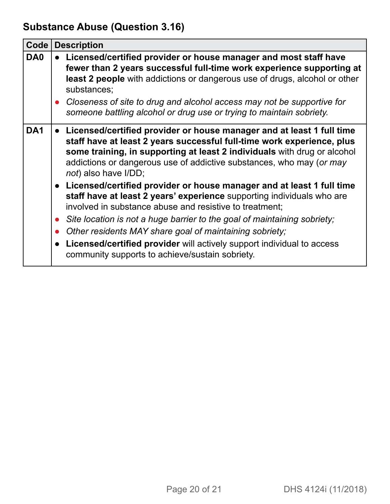# <span id="page-19-0"></span>**Substance Abuse (Question 3.16)**

| Code            |                        | <b>Description</b>                                                                                                                                                                                                                                                                                                                                                                                                                                                                 |  |
|-----------------|------------------------|------------------------------------------------------------------------------------------------------------------------------------------------------------------------------------------------------------------------------------------------------------------------------------------------------------------------------------------------------------------------------------------------------------------------------------------------------------------------------------|--|
| DA0             |                        | • Licensed/certified provider or house manager and most staff have<br>fewer than 2 years successful full-time work experience supporting at<br><b>least 2 people</b> with addictions or dangerous use of drugs, alcohol or other<br>substances;                                                                                                                                                                                                                                    |  |
|                 |                        | • Closeness of site to drug and alcohol access may not be supportive for<br>someone battling alcohol or drug use or trying to maintain sobriety.                                                                                                                                                                                                                                                                                                                                   |  |
| DA <sub>1</sub> |                        | • Licensed/certified provider or house manager and at least 1 full time<br>staff have at least 2 years successful full-time work experience, plus<br>some training, in supporting at least 2 individuals with drug or alcohol<br>addictions or dangerous use of addictive substances, who may (or may<br>not) also have I/DD;                                                                                                                                                      |  |
|                 | $\bullet$<br>$\bullet$ | • Licensed/certified provider or house manager and at least 1 full time<br>staff have at least 2 years' experience supporting individuals who are<br>involved in substance abuse and resistive to treatment;<br>• Site location is not a huge barrier to the goal of maintaining sobriety;<br>Other residents MAY share goal of maintaining sobriety;<br>Licensed/certified provider will actively support individual to access<br>community supports to achieve/sustain sobriety. |  |